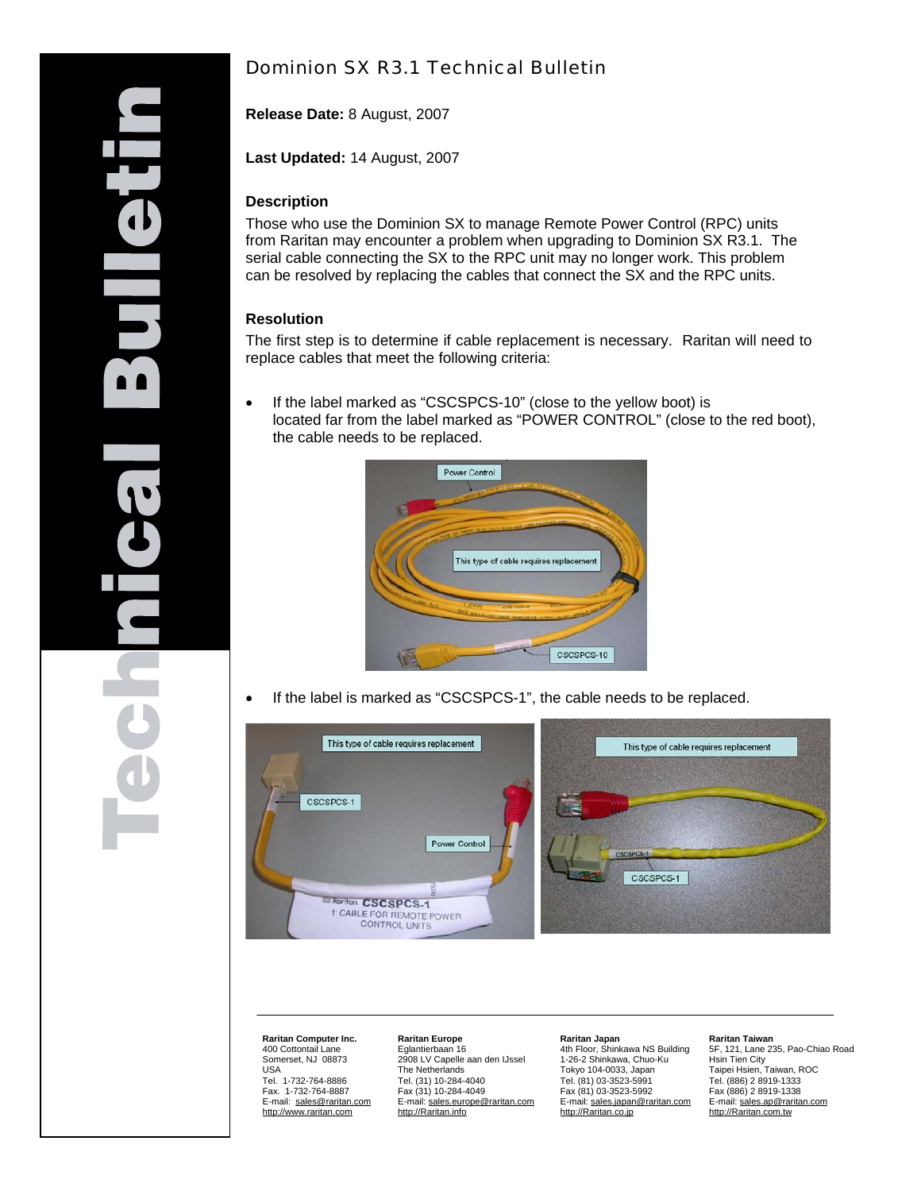# Dominion SX R3.1 Technical Bulletin

**Release Date:** 8 August, 2007

**Last Updated:** 14 August, 2007

#### **Description**

Those who use the Dominion SX to manage Remote Power Control (RPC) units from Raritan may encounter a problem when upgrading to Dominion SX R3.1. The serial cable connecting the SX to the RPC unit may no longer work. This problem can be resolved by replacing the cables that connect the SX and the RPC units.

#### **Resolution**

The first step is to determine if cable replacement is necessary. Raritan will need to replace cables that meet the following criteria:

• If the label marked as "CSCSPCS-10" (close to the yellow boot) is located far from the label marked as "POWER CONTROL" (close to the red boot), the cable needs to be replaced.



If the label is marked as "CSCSPCS-1", the cable needs to be replaced.



**Raritan Computer Inc.**  400 Cottontail Lane Somerset, NJ 08873 USA Tel. 1-732-764-8886 Fax. 1-732-764-8887 E-mail: [sales@raritan.com](mailto:sales@raritan.com) [http://www.raritan.com](http://www.raritan.com/)

#### **Raritan Europe** Eglantierbaan 16 2908 LV Capelle aan den IJssel The Netherlands Tel. (31) 10-284-4040 Fax (31) 10-284-4049 E-mail: [sales.europe@raritan.com](mailto:sales.europe@raritan.com) [http://Raritan.info](http://raritan.info/)

## **Raritan Japan** 4th Floor, Shinkawa NS Building

1-26-2 Shinkawa, Chuo-Ku Tokyo 104-0033, Japan Tel. (81) 03-3523-5991 Fax (81) 03-3523-5992 E-mail: sales.japan@raritan.com [http://Raritan.co.jp](http://raritan.co.jp/)

#### **Raritan Taiwan**

5F, 121, Lane 235, Pao-Chiao Road Hsin Tien City Taipei Hsien, Taiwan, ROC Tel. (886) 2 8919-1333 Fax (886) 2 8919-1338 E-mail: [sales.ap@raritan.com](mailto:sales.taiwan@raritan.com) [http://Raritan.com.tw](http://raritan.com.tw/)